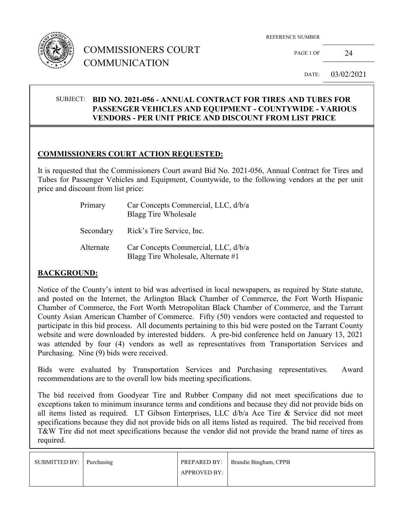

# COMMISSIONERS COURT COMMUNICATION

REFERENCE NUMBER

PAGE 1 OF 24

DATE: 03/02/2021

#### SUBJECT: **BID NO. 2021-056 - ANNUAL CONTRACT FOR TIRES AND TUBES FOR PASSENGER VEHICLES AND EQUIPMENT - COUNTYWIDE - VARIOUS VENDORS - PER UNIT PRICE AND DISCOUNT FROM LIST PRICE**

#### **COMMISSIONERS COURT ACTION REQUESTED:**

It is requested that the Commissioners Court award Bid No. 2021-056, Annual Contract for Tires and Tubes for Passenger Vehicles and Equipment, Countywide, to the following vendors at the per unit price and discount from list price:

| Primary   | Car Concepts Commercial, LLC, d/b/a<br>Blagg Tire Wholesale               |
|-----------|---------------------------------------------------------------------------|
| Secondary | Rick's Tire Service, Inc.                                                 |
| Alternate | Car Concepts Commercial, LLC, d/b/a<br>Blagg Tire Wholesale, Alternate #1 |

## **BACKGROUND:**

Notice of the County's intent to bid was advertised in local newspapers, as required by State statute, and posted on the Internet, the Arlington Black Chamber of Commerce, the Fort Worth Hispanic Chamber of Commerce, the Fort Worth Metropolitan Black Chamber of Commerce, and the Tarrant County Asian American Chamber of Commerce. Fifty (50) vendors were contacted and requested to participate in this bid process. All documents pertaining to this bid were posted on the Tarrant County website and were downloaded by interested bidders. A pre-bid conference held on January 13, 2021 was attended by four (4) vendors as well as representatives from Transportation Services and Purchasing. Nine (9) bids were received.

Bids were evaluated by Transportation Services and Purchasing representatives. Award recommendations are to the overall low bids meeting specifications.

The bid received from Goodyear Tire and Rubber Company did not meet specifications due to exceptions taken to minimum insurance terms and conditions and because they did not provide bids on all items listed as required. LT Gibson Enterprises, LLC d/b/a Ace Tire & Service did not meet specifications because they did not provide bids on all items listed as required. The bid received from T&W Tire did not meet specifications because the vendor did not provide the brand name of tires as required.

| SUBMITTED BY: Purchasing |              | PREPARED BY:   Brandie Bingham, CPPB |
|--------------------------|--------------|--------------------------------------|
|                          | APPROVED BY: |                                      |
|                          |              |                                      |